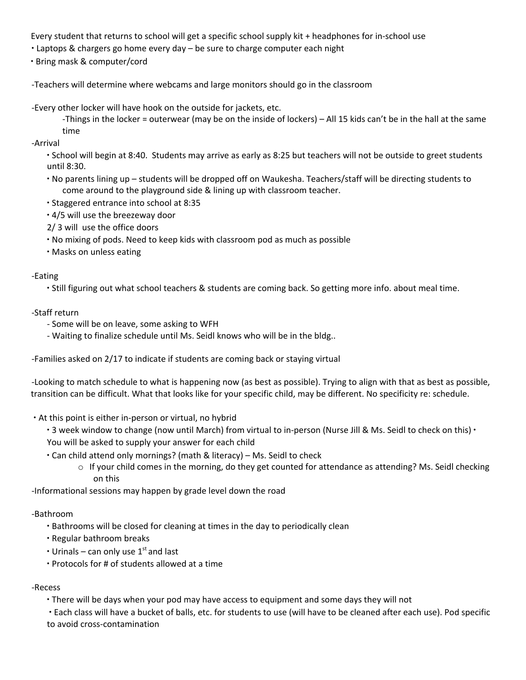Every student that returns to school will get a specific school supply kit + headphones for in-school use

- ∙ Laptops & chargers go home every day be sure to charge computer each night
- ∙ Bring mask & computer/cord

-Teachers will determine where webcams and large monitors should go in the classroom

- -Every other locker will have hook on the outside for jackets, etc.
	- -Things in the locker = outerwear (may be on the inside of lockers) All 15 kids can't be in the hall at the same time
- -Arrival

∙ School will begin at 8:40. Students may arrive as early as 8:25 but teachers will not be outside to greet students until 8:30.

- ∙ No parents lining up students will be dropped off on Waukesha. Teachers/staff will be directing students to come around to the playground side & lining up with classroom teacher.
- ∙ Staggered entrance into school at 8:35
- ∙ 4/5 will use the breezeway door
- 2/ 3 will use the office doors
- ∙ No mixing of pods. Need to keep kids with classroom pod as much as possible
- ∙ Masks on unless eating

## -Eating

∙ Still figuring out what school teachers & students are coming back. So getting more info. about meal time.

# -Staff return

- Some will be on leave, some asking to WFH
- Waiting to finalize schedule until Ms. Seidl knows who will be in the bldg..

-Families asked on 2/17 to indicate if students are coming back or staying virtual

-Looking to match schedule to what is happening now (as best as possible). Trying to align with that as best as possible, transition can be difficult. What that looks like for your specific child, may be different. No specificity re: schedule.

- ∙ At this point is either in-person or virtual, no hybrid
	- ∙ 3 week window to change (now until March) from virtual to in-person (Nurse Jill & Ms. Seidl to check on this) ∙
	- You will be asked to supply your answer for each child
	- ∙ Can child attend only mornings? (math & literacy) Ms. Seidl to check
		- o If your child comes in the morning, do they get counted for attendance as attending? Ms. Seidl checking on this

-Informational sessions may happen by grade level down the road

## -Bathroom

- ∙ Bathrooms will be closed for cleaning at times in the day to periodically clean
- ∙ Regular bathroom breaks
- Urinals can only use 1<sup>st</sup> and last
- ∙ Protocols for # of students allowed at a time

## -Recess

∙ There will be days when your pod may have access to equipment and some days they will not

∙ Each class will have a bucket of balls, etc. for students to use (will have to be cleaned after each use). Pod specific to avoid cross-contamination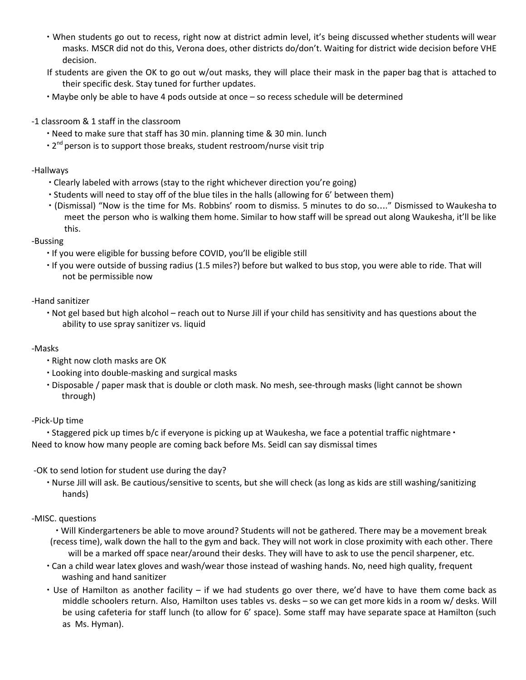- ∙ When students go out to recess, right now at district admin level, it's being discussed whether students will wear masks. MSCR did not do this, Verona does, other districts do/don't. Waiting for district wide decision before VHE decision.
- If students are given the OK to go out w/out masks, they will place their mask in the paper bag that is attached to their specific desk. Stay tuned for further updates.
- ∙ Maybe only be able to have 4 pods outside at once so recess schedule will be determined
- -1 classroom & 1 staff in the classroom
	- ∙ Need to make sure that staff has 30 min. planning time & 30 min. lunch
	- 2<sup>nd</sup> person is to support those breaks, student restroom/nurse visit trip

#### -Hallways

- ∙ Clearly labeled with arrows (stay to the right whichever direction you're going)
- ∙ Students will need to stay off of the blue tiles in the halls (allowing for 6' between them)
- ∙ (Dismissal) "Now is the time for Ms. Robbins' room to dismiss. 5 minutes to do so…." Dismissed to Waukesha to meet the person who is walking them home. Similar to how staff will be spread out along Waukesha, it'll be like this.

#### -Bussing

- ∙ If you were eligible for bussing before COVID, you'll be eligible still
- ∙ If you were outside of bussing radius (1.5 miles?) before but walked to bus stop, you were able to ride. That will not be permissible now

#### -Hand sanitizer

∙ Not gel based but high alcohol – reach out to Nurse Jill if your child has sensitivity and has questions about the ability to use spray sanitizer vs. liquid

## -Masks

- ∙ Right now cloth masks are OK
- ∙ Looking into double-masking and surgical masks
- ∙ Disposable / paper mask that is double or cloth mask. No mesh, see-through masks (light cannot be shown through)

## -Pick-Up time

∙ Staggered pick up times b/c if everyone is picking up at Waukesha, we face a potential traffic nightmare ∙ Need to know how many people are coming back before Ms. Seidl can say dismissal times

## -OK to send lotion for student use during the day?

∙ Nurse Jill will ask. Be cautious/sensitive to scents, but she will check (as long as kids are still washing/sanitizing hands)

## -MISC. questions

∙ Will Kindergarteners be able to move around? Students will not be gathered. There may be a movement break (recess time), walk down the hall to the gym and back. They will not work in close proximity with each other. There will be a marked off space near/around their desks. They will have to ask to use the pencil sharpener, etc.

- ∙ Can a child wear latex gloves and wash/wear those instead of washing hands. No, need high quality, frequent washing and hand sanitizer
- ∙ Use of Hamilton as another facility if we had students go over there, we'd have to have them come back as middle schoolers return. Also, Hamilton uses tables vs. desks – so we can get more kids in a room w/ desks. Will be using cafeteria for staff lunch (to allow for 6' space). Some staff may have separate space at Hamilton (such as Ms. Hyman).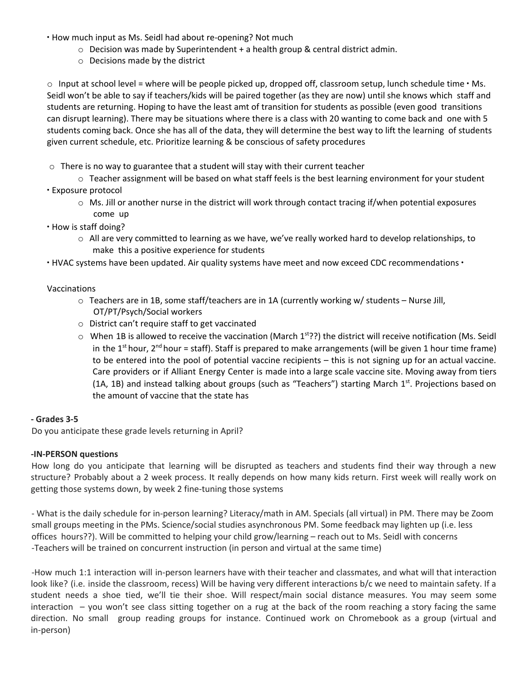∙ How much input as Ms. Seidl had about re-opening? Not much

- $\circ$  Decision was made by Superintendent + a health group & central district admin.
- o Decisions made by the district

o Input at school level = where will be people picked up, dropped off, classroom setup, lunch schedule time ∙ Ms. Seidl won't be able to say if teachers/kids will be paired together (as they are now) until she knows which staff and students are returning. Hoping to have the least amt of transition for students as possible (even good transitions can disrupt learning). There may be situations where there is a class with 20 wanting to come back and one with 5 students coming back. Once she has all of the data, they will determine the best way to lift the learning of students given current schedule, etc. Prioritize learning & be conscious of safety procedures

- $\circ$  There is no way to guarantee that a student will stay with their current teacher
- o Teacher assignment will be based on what staff feels is the best learning environment for your student ∙ Exposure protocol
	- o Ms. Jill or another nurse in the district will work through contact tracing if/when potential exposures come up
- ∙ How is staff doing?
	- $\circ$  All are very committed to learning as we have, we've really worked hard to develop relationships, to make this a positive experience for students
- ∙ HVAC systems have been updated. Air quality systems have meet and now exceed CDC recommendations ∙

#### Vaccinations

- o Teachers are in 1B, some staff/teachers are in 1A (currently working w/ students Nurse Jill, OT/PT/Psych/Social workers
- o District can't require staff to get vaccinated
- $\circ$  When 1B is allowed to receive the vaccination (March 1<sup>st</sup>??) the district will receive notification (Ms. Seidl in the 1<sup>st</sup> hour, 2<sup>nd</sup> hour = staff). Staff is prepared to make arrangements (will be given 1 hour time frame) to be entered into the pool of potential vaccine recipients – this is not signing up for an actual vaccine. Care providers or if Alliant Energy Center is made into a large scale vaccine site. Moving away from tiers (1A, 1B) and instead talking about groups (such as "Teachers") starting March 1<sup>st</sup>. Projections based on the amount of vaccine that the state has

#### **- Grades 3-5**

Do you anticipate these grade levels returning in April?

#### **-IN-PERSON questions**

How long do you anticipate that learning will be disrupted as teachers and students find their way through a new structure? Probably about a 2 week process. It really depends on how many kids return. First week will really work on getting those systems down, by week 2 fine-tuning those systems

- What is the daily schedule for in-person learning? Literacy/math in AM. Specials (all virtual) in PM. There may be Zoom small groups meeting in the PMs. Science/social studies asynchronous PM. Some feedback may lighten up (i.e. less offices hours??). Will be committed to helping your child grow/learning – reach out to Ms. Seidl with concerns -Teachers will be trained on concurrent instruction (in person and virtual at the same time)

-How much 1:1 interaction will in-person learners have with their teacher and classmates, and what will that interaction look like? (i.e. inside the classroom, recess) Will be having very different interactions b/c we need to maintain safety. If a student needs a shoe tied, we'll tie their shoe. Will respect/main social distance measures. You may seem some interaction – you won't see class sitting together on a rug at the back of the room reaching a story facing the same direction. No small group reading groups for instance. Continued work on Chromebook as a group (virtual and in-person)